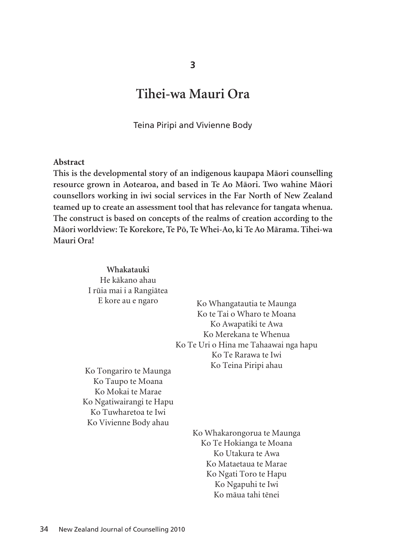# **Tihei-wa Mauri Ora**

Teina Piripi and Vivienne Body

#### **Abstract**

**This is the developmental story of an indigenous kaupapa Mäori counselling resource grown in Aotearoa, and based in Te Ao Mäori. Two wahine Mäori counsellors working in iwi social services in the Far North of New Zealand teamed up to create an assessment tool that has relevance for tangata whenua. The construct is based on concepts of the realms of creation according to the Mäori worldview: Te Korekore, Te Pö, Te Whei-Ao, ki Te Ao Märama. Tihei-wa Mauri Ora!** 

> **Whakatauki** He käkano ahau I rüia mai i a Rangiätea E kore au e ngaro Ko Whangatautia te Maunga Ko te Tai o Wharo te Moana Ko Awapatiki te Awa Ko Merekana te Whenua Ko Te Uri o Hina me Tahaawai nga hapu Ko Te Rarawa te Iwi Ko Teina Piripi ahau Ko Tongariro te Maunga Ko Taupo te Moana Ko Mokai te Marae Ko Ngatiwairangi te Hapu Ko Tuwharetoa te Iwi Ko Vivienne Body ahau Ko Whakarongorua te Maunga Ko Te Hokianga te Moana Ko Utakura te Awa Ko Mataetaua te Marae Ko Ngati Toro te Hapu Ko Ngapuhi te Iwi

> > Ko mäua tahi tënei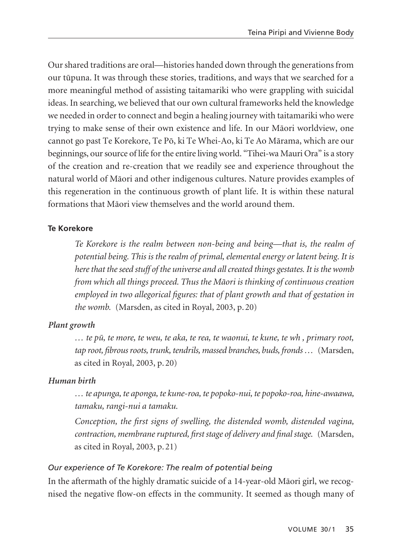Our shared traditions are oral—histories handed down through the generations from our tüpuna. It was through these stories, traditions, and ways that we searched for a more meaningful method of assisting taitamariki who were grappling with suicidal ideas. In searching, we believed that our own cultural frameworks held the knowledge we needed in order to connect and begin a healing journey with taitamariki who were trying to make sense of their own existence and life. In our Mäori worldview, one cannot go past Te Korekore, Te Pö, ki Te Whei-Ao, ki Te Ao Märama, which are our beginnings, our source of life for the entire living world. "Tihei-wa Mauri Ora" is a story of the creation and re-creation that we readily see and experience throughout the natural world of Mäori and other indigenous cultures. Nature provides examples of this regeneration in the continuous growth of plant life. It is within these natural formations that Mäori view themselves and the world around them.

# **Te Korekore**

*Te Korekore is the realm between non-being and being—that is, the realm of potential being. This is the realm of primal, elemental energy or latent being. It is here that the seed stuff of the universe and all created things gestates. It is the womb from which all things proceed. Thus the Mäori is thinking of continuous creation employed in two allegorical figures: that of plant growth and that of gestation in the womb.* (Marsden, as cited in Royal, 2003, p. 20)

# *Plant growth*

*… te pü, te more, te weu, te aka, te rea, te waonui, te kune, te wh , primary root, tap root, fibrous roots, trunk, tendrils, massed branches, buds, fronds …* (Marsden, as cited in Royal, 2003, p. 20)

# *Human birth*

*… te apunga, te aponga, te kune-roa, te popoko-nui, te popoko-roa, hine-awaawa, tamaku, rangi-nui a tamaku.*

*Conception, the first signs of swelling, the distended womb, distended vagina, contraction, membrane ruptured, first stage of delivery and final stage.* (Marsden, as cited in Royal, 2003, p. 21)

### *Our experience of Te Korekore: The realm of potential being*

In the aftermath of the highly dramatic suicide of a 14-year-old Mäori girl, we recognised the negative flow-on effects in the community. It seemed as though many of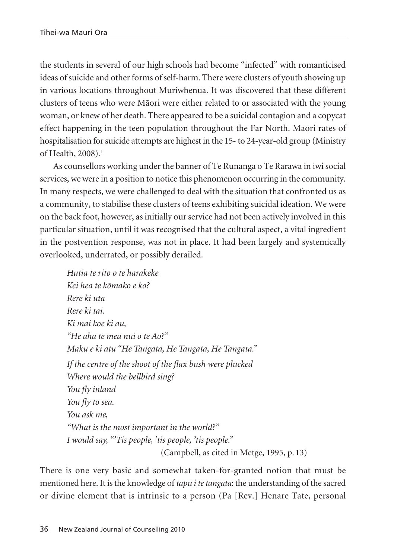the students in several of our high schools had become "infected" with romanticised ideas of suicide and other forms of self-harm. There were clusters of youth showing up in various locations throughout Muriwhenua. It was discovered that these different clusters of teens who were Mäori were either related to or associated with the young woman, or knew of her death. There appeared to be a suicidal contagion and a copycat effect happening in the teen population throughout the Far North. Mäori rates of hospitalisation for suicide attempts are highest in the 15- to 24-year-old group (Ministry of Health, 2008).<sup>1</sup>

As counsellors working under the banner of Te Runanga o Te Rarawa in iwi social services, we were in a position to notice this phenomenon occurring in the community. In many respects, we were challenged to deal with the situation that confronted us as a community, to stabilise these clusters of teens exhibiting suicidal ideation. We were on the back foot, however, as initially our service had not been actively involved in this particular situation, until it was recognised that the cultural aspect, a vital ingredient in the postvention response, was not in place. It had been largely and systemically overlooked, underrated, or possibly derailed.

*Hutia te rito o te harakeke Kei hea te kömako e ko? Rere ki uta Rere ki tai. Ki mai koe ki au, "He aha te mea nui o te Ao?" Maku e ki atu "He Tangata, He Tangata, He Tangata." If the centre of the shoot of the flax bush were plucked Where would the bellbird sing? You fly inland You fly to sea. You ask me, "What is the most important in the world?" I would say, "'Tis people, 'tis people, 'tis people."* (Campbell, as cited in Metge, 1995, p. 13)

There is one very basic and somewhat taken-for-granted notion that must be mentioned here. It is the knowledge of *tapu i te tangata*: the understanding of the sacred or divine element that is intrinsic to a person (Pa [Rev.] Henare Tate, personal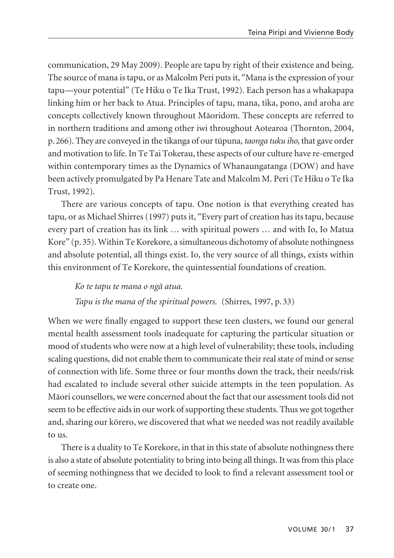communication, 29 May 2009). People are tapu by right of their existence and being. The source of mana is tapu, or as Malcolm Peri puts it, "Mana is the expression of your tapu—your potential" (Te Hiku o Te Ika Trust, 1992). Each person has a whakapapa linking him or her back to Atua. Principles of tapu, mana, tika, pono, and aroha are concepts collectively known throughout Mäoridom. These concepts are referred to in northern traditions and among other iwi throughout Aotearoa (Thornton, 2004, p.266). They are conveyed in the tikanga of our tüpuna, *taonga tuku iho*, that gave order and motivation to life. In Te Tai Tokerau, these aspects of our culture have re-emerged within contemporary times as the Dynamics of Whanaungatanga (DOW) and have been actively promulgated by Pa Henare Tate and Malcolm M. Peri (Te Hiku o Te Ika Trust, 1992).

There are various concepts of tapu. One notion is that everything created has tapu, or as Michael Shirres (1997) puts it, "Every part of creation has its tapu, because every part of creation has its link … with spiritual powers … and with Io, Io Matua Kore" (p. 35). Within Te Korekore, a simultaneous dichotomy of absolute nothingness and absolute potential, all things exist. Io, the very source of all things, exists within this environment of Te Korekore, the quintessential foundations of creation.

*Ko te tapu te mana o ngä atua.*

*Tapu is the mana of the spiritual powers.* (Shirres, 1997, p. 33)

When we were finally engaged to support these teen clusters, we found our general mental health assessment tools inadequate for capturing the particular situation or mood of students who were now at a high level of vulnerability; these tools, including scaling questions, did not enable them to communicate their real state of mind or sense of connection with life. Some three or four months down the track, their needs/risk had escalated to include several other suicide attempts in the teen population. As Mäori counsellors, we were concerned about the fact that our assessment tools did not seem to be effective aids in our work of supporting these students. Thus we got together and, sharing our körero, we discovered that what we needed was not readily available to us.

There is a duality to Te Korekore, in that in this state of absolute nothingness there is also a state of absolute potentiality to bring into being all things. It was from this place of seeming nothingness that we decided to look to find a relevant assessment tool or to create one.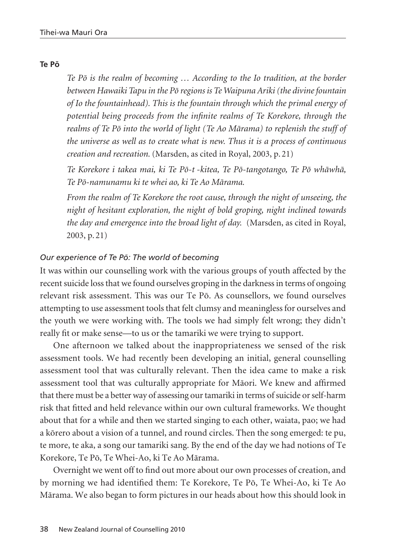### **Te Pö**

*Te Pö is the realm of becoming … According to the Io tradition, at the border between Hawaiki Tapu in the Pö regions is Te Waipuna Ariki (the divine fountain of Io the fountainhead). This is the fountain through which the primal energy of potential being proceeds from the infinite realms of Te Korekore, through the realms of Te Pö into the world of light (Te Ao Märama) to replenish the stuff of the universe as well as to create what is new. Thus it is a process of continuous creation and recreation.* (Marsden, as cited in Royal, 2003, p. 21)

*Te Korekore i takea mai, ki Te Pö-t -kitea, Te Pö-tangotango, Te Pö whäwhä, Te Pö-namunamu ki te whei ao, ki Te Ao Märama.*

*From the realm of Te Korekore the root cause, through the night of unseeing, the night of hesitant exploration, the night of bold groping, night inclined towards the day and emergence into the broad light of day.* (Marsden, as cited in Royal, 2003, p. 21)

### *Our experience of Te Pö: The world of becoming*

It was within our counselling work with the various groups of youth affected by the recent suicide loss that we found ourselves groping in the darkness in terms of ongoing relevant risk assessment. This was our Te Pö. As counsellors, we found ourselves attempting to use assessment tools that felt clumsy and meaningless for ourselves and the youth we were working with. The tools we had simply felt wrong; they didn't really fit or make sense—to us or the tamariki we were trying to support.

One afternoon we talked about the inappropriateness we sensed of the risk assessment tools. We had recently been developing an initial, general counselling assessment tool that was culturally relevant. Then the idea came to make a risk assessment tool that was culturally appropriate for Mäori. We knew and affirmed that there must be a better way of assessing our tamariki in terms of suicide or self-harm risk that fitted and held relevance within our own cultural frameworks. We thought about that for a while and then we started singing to each other, waiata, pao; we had a körero about a vision of a tunnel, and round circles. Then the song emerged: te pu, te more, te aka, a song our tamariki sang. By the end of the day we had notions of Te Korekore, Te Pö, Te Whei-Ao, ki Te Ao Märama.

Overnight we went off to find out more about our own processes of creation, and by morning we had identified them: Te Korekore, Te Pö, Te Whei-Ao, ki Te Ao Märama. We also began to form pictures in our heads about how this should look in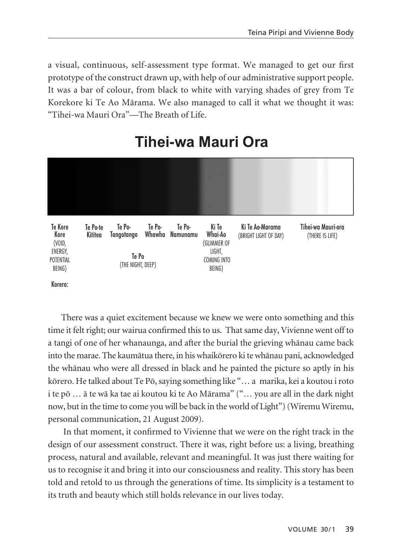a visual, continuous, self-assessment type format. We managed to get our first prototype of the construct drawn up, with help of our administrative support people. It was a bar of colour, from black to white with varying shades of grey from Te Korekore ki Te Ao Märama. We also managed to call it what we thought it was: "Tihei-wa Mauri Ora"—The Breath of Life.



# **Tihei-wa Mauri Ora**

Korero:

There was a quiet excitement because we knew we were onto something and this time it felt right; our wairua confirmed this to us. That same day, Vivienne went off to a tangi of one of her whanaunga, and after the burial the grieving whänau came back into the marae. The kaumätua there, in his whaikörero ki te whänau pani, acknowledged the whänau who were all dressed in black and he painted the picture so aptly in his körero. He talked about Te Pö, saying something like "… a marika, kei a koutou i roto i te pö … ä te wä ka tae ai koutou ki te Ao Märama" ("… you are all in the dark night now, but in the time to come you will be back in the world of Light") (Wiremu Wiremu, personal communication, 21 August 2009).

In that moment, it confirmed to Vivienne that we were on the right track in the design of our assessment construct. There it was, right before us: a living, breathing process, natural and available, relevant and meaningful. It was just there waiting for us to recognise it and bring it into our consciousness and reality. This story has been told and retold to us through the generations of time. Its simplicity is a testament to its truth and beauty which still holds relevance in our lives today.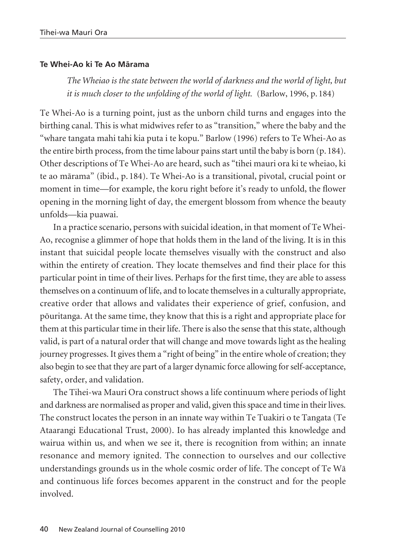### **Te Whei-Ao ki Te Ao Märama**

*The Wheiao is the state between the world of darkness and the world of light, but it is much closer to the unfolding of the world of light.* (Barlow, 1996, p. 184)

Te Whei-Ao is a turning point, just as the unborn child turns and engages into the birthing canal. This is what midwives refer to as "transition," where the baby and the "whare tangata mahi tahi kia puta i te kopu." Barlow (1996) refers to Te Whei-Ao as the entire birth process, from the time labour pains start until the baby is born (p. 184). Other descriptions of Te Whei-Ao are heard, such as "tihei mauri ora ki te wheiao, ki te ao märama" (ibid., p. 184). Te Whei-Ao is a transitional, pivotal, crucial point or moment in time—for example, the koru right before it's ready to unfold, the flower opening in the morning light of day, the emergent blossom from whence the beauty unfolds—kia puawai.

In a practice scenario, persons with suicidal ideation, in that moment of Te Whei-Ao, recognise a glimmer of hope that holds them in the land of the living. It is in this instant that suicidal people locate themselves visually with the construct and also within the entirety of creation. They locate themselves and find their place for this particular point in time of their lives. Perhaps for the first time, they are able to assess themselves on a continuum of life, and to locate themselves in a culturally appropriate, creative order that allows and validates their experience of grief, confusion, and pöuritanga. At the same time, they know that this is a right and appropriate place for them at this particular time in their life. There is also the sense that this state, although valid, is part of a natural order that will change and move towards light as the healing journey progresses. It gives them a "right of being" in the entire whole of creation; they also begin to see that they are part of a larger dynamic force allowing for self-acceptance, safety, order, and validation.

The Tihei-wa Mauri Ora construct shows a life continuum where periods of light and darkness are normalised as proper and valid, given this space and time in their lives. The construct locates the person in an innate way within Te Tuakiri o te Tangata (Te Ataarangi Educational Trust, 2000). Io has already implanted this knowledge and wairua within us, and when we see it, there is recognition from within; an innate resonance and memory ignited. The connection to ourselves and our collective understandings grounds us in the whole cosmic order of life. The concept of Te Wä and continuous life forces becomes apparent in the construct and for the people involved.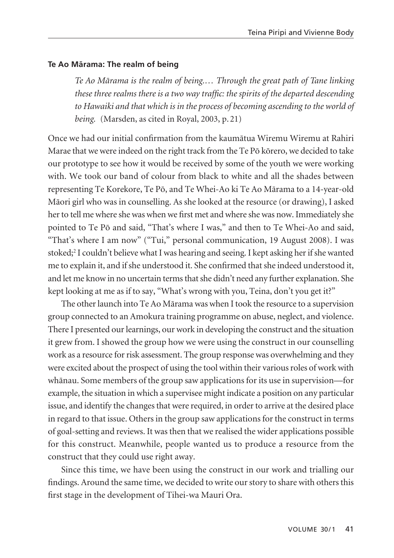### **Te Ao Märama: The realm of being**

*Te Ao Märama is the realm of being.… Through the great path of Tane linking these three realms there is a two way traffic: the spirits of the departed descending to Hawaiki and that which is in the process of becoming ascending to the world of being.* (Marsden, as cited in Royal, 2003, p. 21)

Once we had our initial confirmation from the kaumätua Wiremu Wiremu at Rahiri Marae that we were indeed on the right track from the Te Pö körero, we decided to take our prototype to see how it would be received by some of the youth we were working with. We took our band of colour from black to white and all the shades between representing Te Korekore, Te Pö, and Te Whei-Ao ki Te Ao Märama to a 14-year-old Mäori girl who was in counselling. As she looked at the resource (or drawing), I asked her to tell me where she was when we first met and where she was now. Immediately she pointed to Te Pö and said, "That's where I was," and then to Te Whei-Ao and said, "That's where I am now" ("Tui," personal communication, 19 August 2008). I was stoked;2 I couldn't believe what I was hearing and seeing. I kept asking her if she wanted me to explain it, and if she understood it. She confirmed that she indeed understood it, and let me know in no uncertain terms that she didn't need any further explanation. She kept looking at me as if to say, "What's wrong with you, Teina, don't you get it?"

The other launch into Te Ao Märama was when I took the resource to a supervision group connected to an Amokura training programme on abuse, neglect, and violence. There I presented our learnings, our work in developing the construct and the situation it grew from. I showed the group how we were using the construct in our counselling work as a resource for risk assessment. The group response was overwhelming and they were excited about the prospect of using the tool within their various roles of work with whänau. Some members of the group saw applications for its use in supervision—for example, the situation in which a supervisee might indicate a position on any particular issue, and identify the changes that were required, in order to arrive at the desired place in regard to that issue. Others in the group saw applications for the construct in terms of goal-setting and reviews. It was then that we realised the wider applications possible for this construct. Meanwhile, people wanted us to produce a resource from the construct that they could use right away.

Since this time, we have been using the construct in our work and trialling our findings. Around the same time, we decided to write our story to share with others this first stage in the development of Tihei-wa Mauri Ora.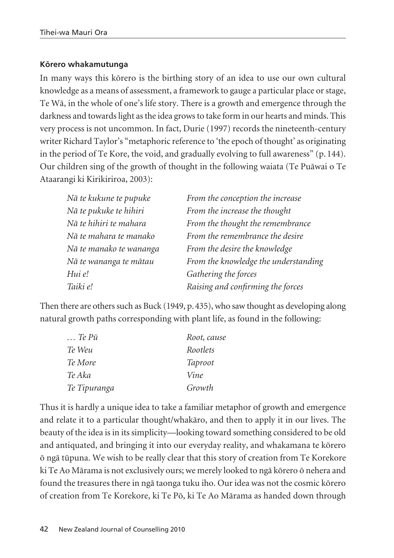### **Körero whakamutunga**

In many ways this körero is the birthing story of an idea to use our own cultural knowl edge as a means of assessment, a framework to gauge a particular place or stage, Te Wä, in the whole of one's life story. There is a growth and emergence through the darkness and towards light as the idea grows to take form in our hearts and minds. This very process is not uncommon. In fact, Durie (1997) records the nineteenth-century writer Richard Taylor's "metaphoric reference to 'the epoch of thought' as originating in the period of Te Kore, the void, and gradually evolving to full awareness" (p. 144). Our children sing of the growth of thought in the following waiata (Te Puäwai o Te Ataarangi ki Kirikiriroa, 2003):

| Nā te kukune te pupuke  | From the conception the increase     |
|-------------------------|--------------------------------------|
| Nā te pukuke te hihiri  | From the increase the thought        |
| Nā te hihiri te mahara  | From the thought the remembrance     |
| Nā te mahara te manako  | From the remembrance the desire      |
| Nā te manako te wananga | From the desire the knowledge        |
| Nā te wananga te mātau  | From the knowledge the understanding |
| Hui e!                  | Gathering the forces                 |
| Taiki e!                | Raising and confirming the forces    |

Then there are others such as Buck (1949, p.435), who saw thought as developing along natural growth paths corresponding with plant life, as found in the following:

| $\ldots$ Te P $\bar{u}$ | Root, cause    |
|-------------------------|----------------|
| Te Weu                  | Rootlets       |
| Te More                 | <b>Taproot</b> |
| Te Aka                  | Vine           |
| Te Tipuranga            | Growth         |

Thus it is hardly a unique idea to take a familiar metaphor of growth and emergence and relate it to a particular thought/whakäro, and then to apply it in our lives. The beauty of the idea is in its simplicity—looking toward something considered to be old and antiquated, and bringing it into our everyday reality, and whakamana te körero ö ngä tüpuna. We wish to be really clear that this story of creation from Te Korekore ki Te Ao Märama is not exclusively ours; we merely looked to ngä körero ö nehera and found the treasures there in ngä taonga tuku iho. Our idea was not the cosmic körero of creation from Te Korekore, ki Te Pö, ki Te Ao Märama as handed down through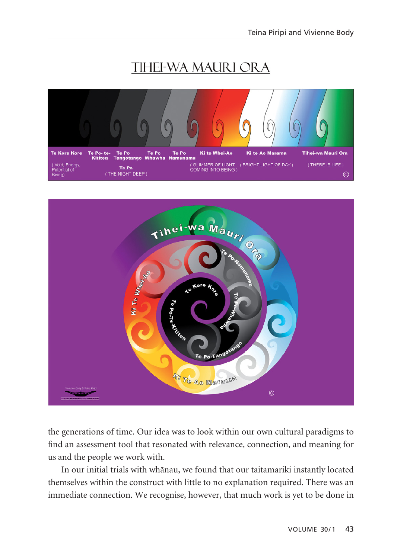# **TIHEI-WA MAURI ORA**





the generations of time. Our idea was to look within our own cultural paradigms to find an assessment tool that resonated with relevance, connection, and meaning for us and the people we work with.

In our initial trials with whänau, we found that our taitamariki instantly located themselves within the construct with little to no explanation required. There was an immediate connection. We recognise, however, that much work is yet to be done in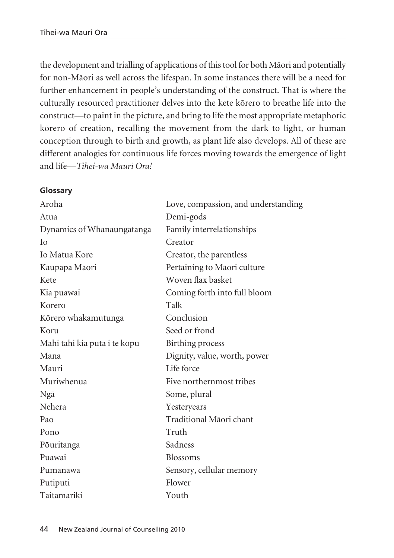the development and trialling of applications of this tool for both Mäori and potentially for non-Mäori as well across the lifespan. In some instances there will be a need for further enhancement in people's understanding of the construct. That is where the culturally resourced practitioner delves into the kete körero to breathe life into the construct—to paint in the picture, and bring to life the most appropriate metaphoric körero of creation, recalling the movement from the dark to light, or human conception through to birth and growth, as plant life also develops. All of these are different analogies for continuous life forces moving towards the emergence of light and life—*Tihei-wa Mauri Ora!*

## **Glossary**

| Aroha                        | Love, compassion, and understanding |
|------------------------------|-------------------------------------|
| Atua                         | Demi-gods                           |
| Dynamics of Whanaungatanga   | Family interrelationships           |
| Iο                           | Creator                             |
| Io Matua Kore                | Creator, the parentless             |
| Kaupapa Māori                | Pertaining to Māori culture         |
| Kete                         | Woven flax basket                   |
| Kia puawai                   | Coming forth into full bloom        |
| Kōrero                       | Talk                                |
| Kõrero whakamutunga          | Conclusion                          |
| Koru                         | Seed or frond                       |
| Mahi tahi kia puta i te kopu | Birthing process                    |
| Mana                         | Dignity, value, worth, power        |
| Mauri                        | Life force                          |
| Muriwhenua                   | Five northernmost tribes            |
| Ngā                          | Some, plural                        |
| Nehera                       | Yesteryears                         |
| Pao                          | Traditional Māori chant             |
| Pono                         | Truth                               |
| Pōuritanga                   | Sadness                             |
| Puawai                       | <b>Blossoms</b>                     |
| Pumanawa                     | Sensory, cellular memory            |
| Putiputi                     | Flower                              |
| Taitamariki                  | Youth                               |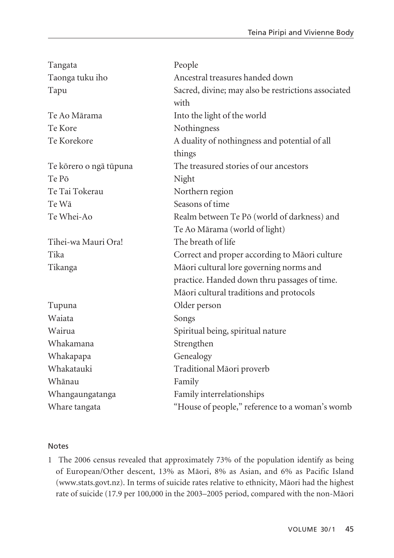| Tangata                | People                                              |
|------------------------|-----------------------------------------------------|
| Taonga tuku iho        | Ancestral treasures handed down                     |
| Tapu                   | Sacred, divine; may also be restrictions associated |
|                        | with                                                |
| Te Ao Mārama           | Into the light of the world                         |
| Te Kore                | Nothingness                                         |
| Te Korekore            | A duality of nothingness and potential of all       |
|                        | things                                              |
| Te kõrero o ngā tūpuna | The treasured stories of our ancestors              |
| Te Pō                  | Night                                               |
| Te Tai Tokerau         | Northern region                                     |
| Te Wā                  | Seasons of time                                     |
| Te Whei-Ao             | Realm between Te Pō (world of darkness) and         |
|                        | Te Ao Mārama (world of light)                       |
| Tihei-wa Mauri Ora!    | The breath of life                                  |
| Tika                   | Correct and proper according to Māori culture       |
| Tikanga                | Māori cultural lore governing norms and             |
|                        | practice. Handed down thru passages of time.        |
|                        | Māori cultural traditions and protocols             |
| Tupuna                 | Older person                                        |
| Waiata                 | Songs                                               |
| Wairua                 | Spiritual being, spiritual nature                   |
| Whakamana              | Strengthen                                          |
| Whakapapa              | Genealogy                                           |
| Whakatauki             | Traditional Māori proverb                           |
| Whānau                 | Family                                              |
| Whangaungatanga        | Family interrelationships                           |
| Whare tangata          | "House of people," reference to a woman's womb      |

#### Notes

1 The 2006 census revealed that approximately 73% of the population identify as being of European/Other descent, 13% as Mäori, 8% as Asian, and 6% as Pacific Island (www.stats.govt.nz). In terms of suicide rates relative to ethnicity, Mäori had the highest rate of suicide (17.9 per 100,000 in the 2003–2005 period, compared with the non-Mäori